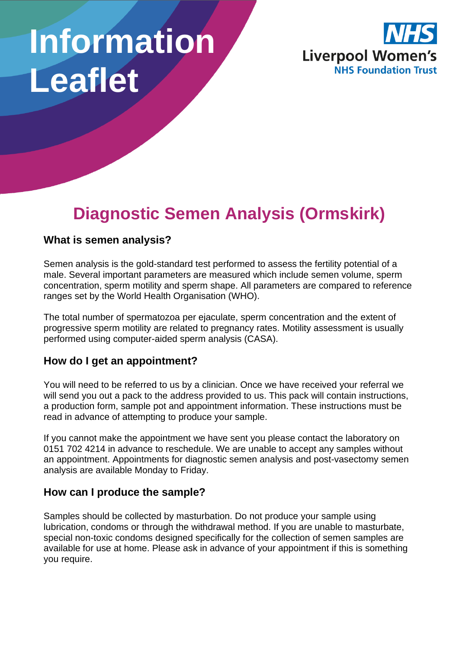# **Information Leaflet**



# **Diagnostic Semen Analysis (Ormskirk)**

#### **What is semen analysis?**

Semen analysis is the gold-standard test performed to assess the fertility potential of a male. Several important parameters are measured which include semen volume, sperm concentration, sperm motility and sperm shape. All parameters are compared to reference ranges set by the World Health Organisation (WHO).

The total number of spermatozoa per ejaculate, sperm concentration and the extent of progressive sperm motility are related to pregnancy rates. Motility assessment is usually performed using computer-aided sperm analysis (CASA).

#### **How do I get an appointment?**

You will need to be referred to us by a clinician. Once we have received your referral we will send you out a pack to the address provided to us. This pack will contain instructions, a production form, sample pot and appointment information. These instructions must be read in advance of attempting to produce your sample.

If you cannot make the appointment we have sent you please contact the laboratory on 0151 702 4214 in advance to reschedule. We are unable to accept any samples without an appointment. Appointments for diagnostic semen analysis and post-vasectomy semen analysis are available Monday to Friday.

#### **How can I produce the sample?**

Samples should be collected by masturbation. Do not produce your sample using lubrication, condoms or through the withdrawal method. If you are unable to masturbate, special non-toxic condoms designed specifically for the collection of semen samples are available for use at home. Please ask in advance of your appointment if this is something you require.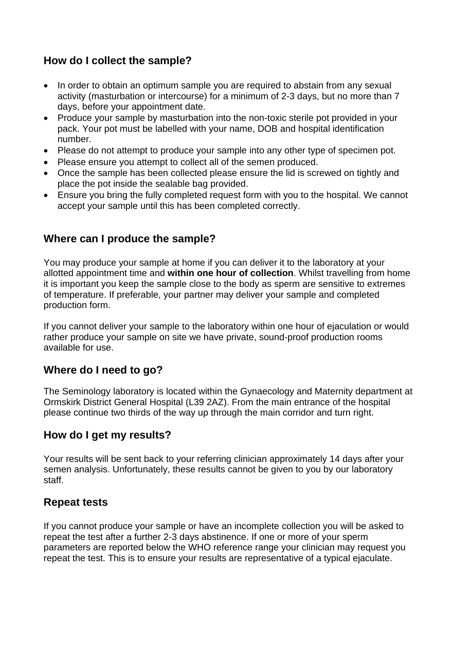## **How do I collect the sample?**

- In order to obtain an optimum sample you are required to abstain from any sexual activity (masturbation or intercourse) for a minimum of 2-3 days, but no more than 7 days, before your appointment date.
- Produce your sample by masturbation into the non-toxic sterile pot provided in your pack. Your pot must be labelled with your name, DOB and hospital identification number.
- Please do not attempt to produce your sample into any other type of specimen pot.
- Please ensure you attempt to collect all of the semen produced.
- Once the sample has been collected please ensure the lid is screwed on tightly and place the pot inside the sealable bag provided.
- Ensure you bring the fully completed request form with you to the hospital. We cannot accept your sample until this has been completed correctly.

#### **Where can I produce the sample?**

You may produce your sample at home if you can deliver it to the laboratory at your allotted appointment time and **within one hour of collection**. Whilst travelling from home it is important you keep the sample close to the body as sperm are sensitive to extremes of temperature. If preferable, your partner may deliver your sample and completed production form.

If you cannot deliver your sample to the laboratory within one hour of ejaculation or would rather produce your sample on site we have private, sound-proof production rooms available for use.

#### **Where do I need to go?**

The Seminology laboratory is located within the Gynaecology and Maternity department at Ormskirk District General Hospital (L39 2AZ). From the main entrance of the hospital please continue two thirds of the way up through the main corridor and turn right.

#### **How do I get my results?**

Your results will be sent back to your referring clinician approximately 14 days after your semen analysis. Unfortunately, these results cannot be given to you by our laboratory staff.

#### **Repeat tests**

If you cannot produce your sample or have an incomplete collection you will be asked to repeat the test after a further 2-3 days abstinence. If one or more of your sperm parameters are reported below the WHO reference range your clinician may request you repeat the test. This is to ensure your results are representative of a typical ejaculate.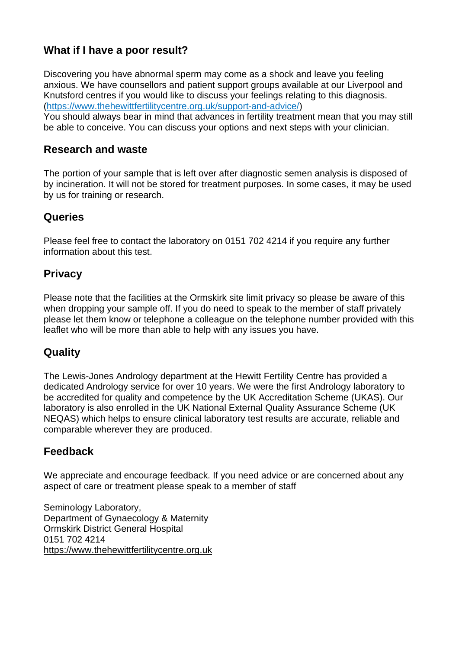## **What if I have a poor result?**

Discovering you have abnormal sperm may come as a shock and leave you feeling anxious. We have counsellors and patient support groups available at our Liverpool and Knutsford centres if you would like to discuss your feelings relating to this diagnosis. [\(https://www.thehewittfertilitycentre.org.uk/support-and-advice/\)](https://www.thehewittfertilitycentre.org.uk/support-and-advice/)

You should always bear in mind that advances in fertility treatment mean that you may still be able to conceive. You can discuss your options and next steps with your clinician.

#### **Research and waste**

The portion of your sample that is left over after diagnostic semen analysis is disposed of by incineration. It will not be stored for treatment purposes. In some cases, it may be used by us for training or research.

#### **Queries**

Please feel free to contact the laboratory on 0151 702 4214 if you require any further information about this test.

#### **Privacy**

Please note that the facilities at the Ormskirk site limit privacy so please be aware of this when dropping your sample off. If you do need to speak to the member of staff privately please let them know or telephone a colleague on the telephone number provided with this leaflet who will be more than able to help with any issues you have.

#### **Quality**

The Lewis-Jones Andrology department at the Hewitt Fertility Centre has provided a dedicated Andrology service for over 10 years. We were the first Andrology laboratory to be accredited for quality and competence by the UK Accreditation Scheme (UKAS). Our laboratory is also enrolled in the UK National External Quality Assurance Scheme (UK NEQAS) which helps to ensure clinical laboratory test results are accurate, reliable and comparable wherever they are produced.

#### **Feedback**

We appreciate and encourage feedback. If you need advice or are concerned about any aspect of care or treatment please speak to a member of staff

Seminology Laboratory, Department of Gynaecology & Maternity Ormskirk District General Hospital 0151 702 4214 [https://www.thehewittfertilitycentre.org.uk](https://www.thehewittfertilitycentre.org.uk/)